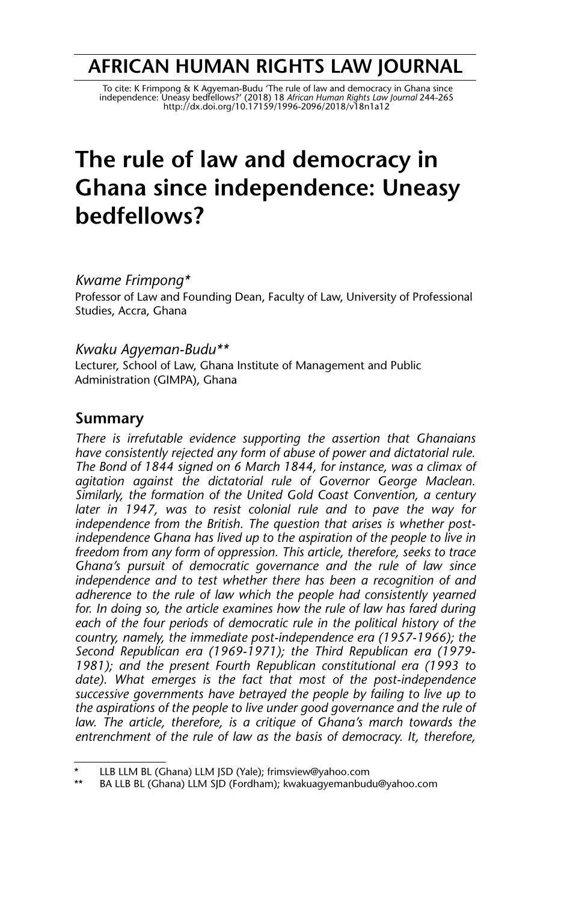# **AFRICAN HUMAN RIGHTS LAW JOURNAL**

To cite: K Frimpong & K Agyeman-Budu 'The rule of law and democracy in Ghana since<br>independence: Uneasy bedfellows?' (2018) 18 African Human Rights Law Journal 244-265<br>http://dx.doi.org/10.17159/1996-2096/2018/v18n1a12

# **The rule of law and democracy in Ghana since independence: Uneasy bedfellows?**

*Kwame Frimpong\**

Professor of Law and Founding Dean, Faculty of Law, University of Professional Studies, Accra, Ghana

#### *Kwaku Agyeman-Budu\*\**

Lecturer, School of Law, Ghana Institute of Management and Public Administration (GIMPA), Ghana

#### **Summary**

*There is irrefutable evidence supporting the assertion that Ghanaians have consistently rejected any form of abuse of power and dictatorial rule. The Bond of 1844 signed on 6 March 1844, for instance, was a climax of agitation against the dictatorial rule of Governor George Maclean. Similarly, the formation of the United Gold Coast Convention, a century later in 1947, was to resist colonial rule and to pave the way for independence from the British. The question that arises is whether postindependence Ghana has lived up to the aspiration of the people to live in freedom from any form of oppression. This article, therefore, seeks to trace Ghana's pursuit of democratic governance and the rule of law since independence and to test whether there has been a recognition of and adherence to the rule of law which the people had consistently yearned for. In doing so, the article examines how the rule of law has fared during each of the four periods of democratic rule in the political history of the country, namely, the immediate post-independence era (1957-1966); the Second Republican era (1969-1971); the Third Republican era (1979- 1981); and the present Fourth Republican constitutional era (1993 to date). What emerges is the fact that most of the post-independence successive governments have betrayed the people by failing to live up to the aspirations of the people to live under good governance and the rule of law. The article, therefore, is a critique of Ghana's march towards the entrenchment of the rule of law as the basis of democracy. It, therefore,*

LLB LLM BL (Ghana) LLM JSD (Yale); frimsview@yahoo.com

BA LLB BL (Ghana) LLM SJD (Fordham); kwakuagyemanbudu@yahoo.com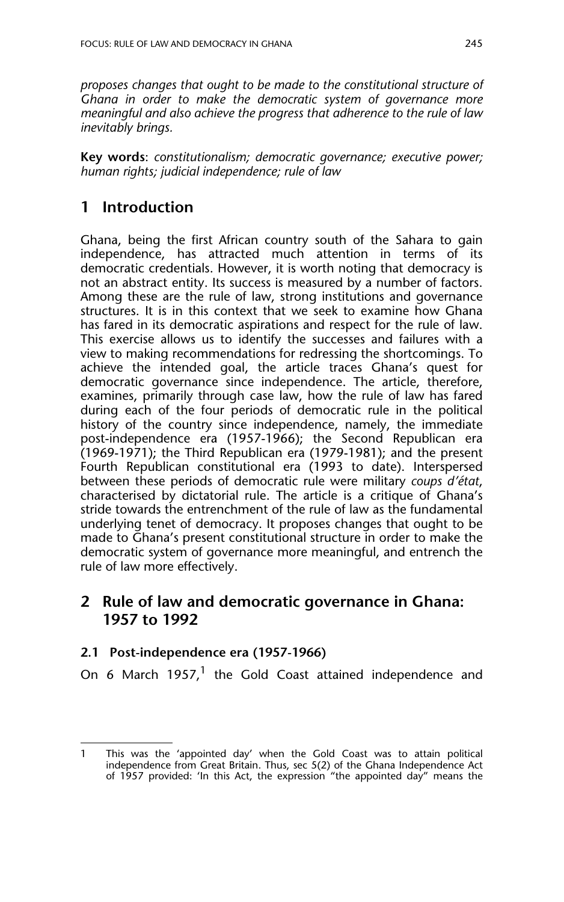*proposes changes that ought to be made to the constitutional structure of Ghana in order to make the democratic system of governance more meaningful and also achieve the progress that adherence to the rule of law inevitably brings.*

**Key words**: *constitutionalism; democratic governance; executive power; human rights; judicial independence; rule of law*

# **1 Introduction**

Ghana, being the first African country south of the Sahara to gain independence, has attracted much attention in terms of its democratic credentials. However, it is worth noting that democracy is not an abstract entity. Its success is measured by a number of factors. Among these are the rule of law, strong institutions and governance structures. It is in this context that we seek to examine how Ghana has fared in its democratic aspirations and respect for the rule of law. This exercise allows us to identify the successes and failures with a view to making recommendations for redressing the shortcomings. To achieve the intended goal, the article traces Ghana's quest for democratic governance since independence. The article, therefore, examines, primarily through case law, how the rule of law has fared during each of the four periods of democratic rule in the political history of the country since independence, namely, the immediate post-independence era (1957-1966); the Second Republican era (1969-1971); the Third Republican era (1979-1981); and the present Fourth Republican constitutional era (1993 to date). Interspersed between these periods of democratic rule were military *coups d'état*, characterised by dictatorial rule. The article is a critique of Ghana's stride towards the entrenchment of the rule of law as the fundamental underlying tenet of democracy. It proposes changes that ought to be made to Ghana's present constitutional structure in order to make the democratic system of governance more meaningful, and entrench the rule of law more effectively.

# **2 Rule of law and democratic governance in Ghana: 1957 to 1992**

#### **2.1 Post-independence era (1957-1966)**

On 6 March 1957,<sup>1</sup> the Gold Coast attained independence and

<sup>1</sup> This was the 'appointed day' when the Gold Coast was to attain political independence from Great Britain. Thus, sec 5(2) of the Ghana Independence Act of 1957 provided: 'In this Act, the expression "the appointed day" means the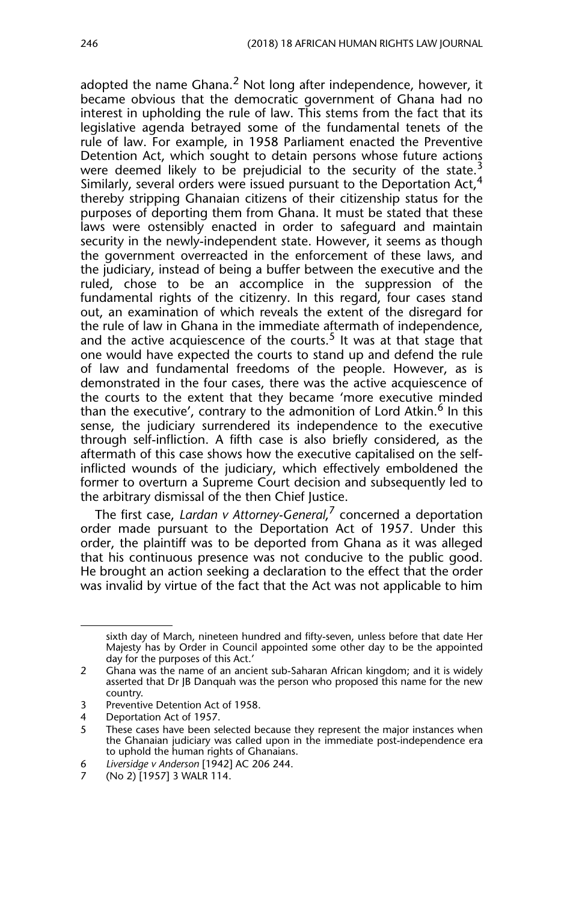adopted the name Ghana. $<sup>2</sup>$  Not long after independence, however, it</sup> became obvious that the democratic government of Ghana had no interest in upholding the rule of law. This stems from the fact that its legislative agenda betrayed some of the fundamental tenets of the rule of law. For example, in 1958 Parliament enacted the Preventive Detention Act, which sought to detain persons whose future actions were deemed likely to be prejudicial to the security of the state.<sup>3</sup> Similarly, several orders were issued pursuant to the Deportation Act, $4$ thereby stripping Ghanaian citizens of their citizenship status for the purposes of deporting them from Ghana. It must be stated that these laws were ostensibly enacted in order to safeguard and maintain security in the newly-independent state. However, it seems as though the government overreacted in the enforcement of these laws, and the judiciary, instead of being a buffer between the executive and the ruled, chose to be an accomplice in the suppression of the fundamental rights of the citizenry. In this regard, four cases stand out, an examination of which reveals the extent of the disregard for the rule of law in Ghana in the immediate aftermath of independence, and the active acquiescence of the courts.<sup>5</sup> It was at that stage that one would have expected the courts to stand up and defend the rule of law and fundamental freedoms of the people. However, as is demonstrated in the four cases, there was the active acquiescence of the courts to the extent that they became 'more executive minded than the executive', contrary to the admonition of Lord Atkin.<sup>6</sup> In this sense, the judiciary surrendered its independence to the executive through self-infliction. A fifth case is also briefly considered, as the aftermath of this case shows how the executive capitalised on the selfinflicted wounds of the judiciary, which effectively emboldened the former to overturn a Supreme Court decision and subsequently led to the arbitrary dismissal of the then Chief Justice.

The first case, *Lardan v Attorney-General*, 7 concerned a deportation order made pursuant to the Deportation Act of 1957. Under this order, the plaintiff was to be deported from Ghana as it was alleged that his continuous presence was not conducive to the public good. He brought an action seeking a declaration to the effect that the order was invalid by virtue of the fact that the Act was not applicable to him

sixth day of March, nineteen hundred and fifty-seven, unless before that date Her Majesty has by Order in Council appointed some other day to be the appointed day for the purposes of this Act.'

<sup>2</sup> Ghana was the name of an ancient sub-Saharan African kingdom; and it is widely asserted that Dr JB Danquah was the person who proposed this name for the new country.

<sup>3</sup> Preventive Detention Act of 1958.

<sup>4</sup> Deportation Act of 1957.

<sup>5</sup> These cases have been selected because they represent the major instances when the Ghanaian judiciary was called upon in the immediate post-independence era to uphold the human rights of Ghanaians.

<sup>6</sup> *Liversidge v Anderson* [1942] AC 206 244.

<sup>(</sup>No 2) [1957] 3 WALR 114.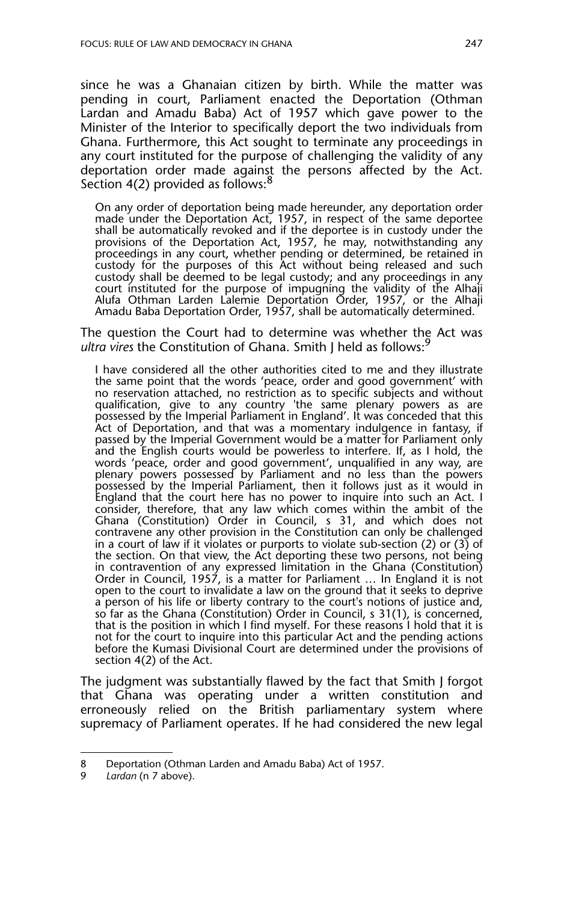since he was a Ghanaian citizen by birth. While the matter was pending in court, Parliament enacted the Deportation (Othman Lardan and Amadu Baba) Act of 1957 which gave power to the Minister of the Interior to specifically deport the two individuals from Ghana. Furthermore, this Act sought to terminate any proceedings in any court instituted for the purpose of challenging the validity of any deportation order made against the persons affected by the Act. Section 4(2) provided as follows:<sup>8</sup>

On any order of deportation being made hereunder, any deportation order made under the Deportation Act, 1957, in respect of the same deportee shall be automatically revoked and if the deportee is in custody under the provisions of the Deportation Act, 1957, he may, notwithstanding any proceedings in any court, whether pending or determined, be retained in custody for the purposes of this Act without being released and such custody shall be deemed to be legal custody; and any proceedings in any court instituted for the purpose of impugning the validity of the Alhaji Alufa Othman Larden Lalemie Deportation Order, 1957, or the Alhaji Amadu Baba Deportation Order, 1957, shall be automatically determined.

The question the Court had to determine was whether the Act was *ultra vires* the Constitution of Ghana. Smith J held as follows:<sup>9</sup>

I have considered all the other authorities cited to me and they illustrate the same point that the words 'peace, order and good government' with no reservation attached, no restriction as to specific subjects and without qualification, give to any country 'the same plenary powers as are possessed by the Imperial Parliament in England'. It was conceded that this Act of Deportation, and that was a momentary indulgence in fantasy, if passed by the Imperial Government would be a matter for Parliament only and the English courts would be powerless to interfere. If, as I hold, the words 'peace, order and good government', unqualified in any way, are plenary powers possessed by Parliament and no less than the powers possessed by the Imperial Parliament, then it follows just as it would in England that the court here has no power to inquire into such an Act. I consider, therefore, that any law which comes within the ambit of the Ghana (Constitution) Order in Council, s 31, and which does not contravene any other provision in the Constitution can only be challenged in a court of law if it violates or purports to violate sub-section (2) or  $(3)$  of the section. On that view, the Act deporting these two persons, not being in contravention of any expressed limitation in the Ghana (Constitution) Order in Council, 1957, is a matter for Parliament … In England it is not open to the court to invalidate a law on the ground that it seeks to deprive a person of his life or liberty contrary to the court's notions of justice and, so far as the Ghana (Constitution) Order in Council, s 31(1), is concerned, that is the position in which I find myself. For these reasons I hold that it is not for the court to inquire into this particular Act and the pending actions before the Kumasi Divisional Court are determined under the provisions of section 4(2) of the Act.

The judgment was substantially flawed by the fact that Smith J forgot that Ghana was operating under a written constitution and erroneously relied on the British parliamentary system where supremacy of Parliament operates. If he had considered the new legal

<sup>8</sup> Deportation (Othman Larden and Amadu Baba) Act of 1957.

<sup>9</sup> *Lardan* (n 7 above).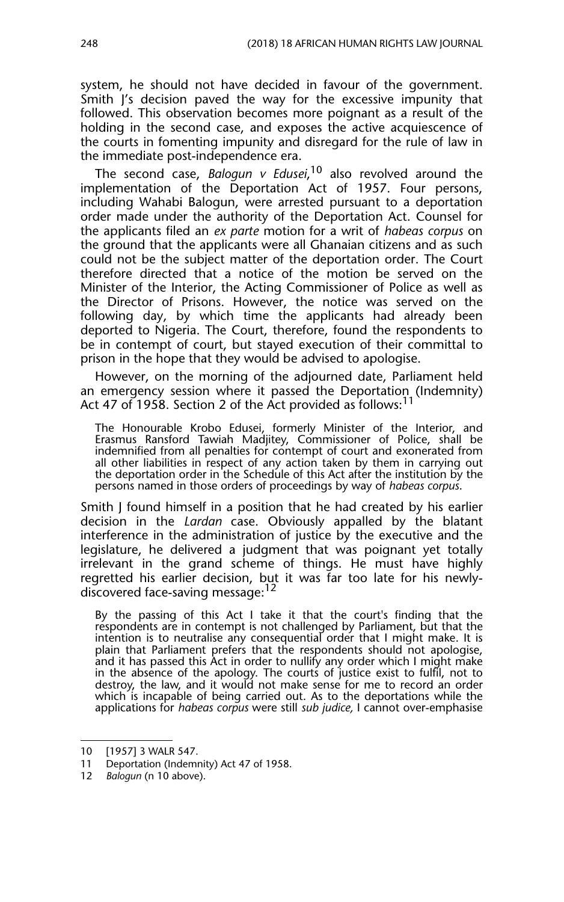system, he should not have decided in favour of the government. Smith J's decision paved the way for the excessive impunity that followed. This observation becomes more poignant as a result of the holding in the second case, and exposes the active acquiescence of the courts in fomenting impunity and disregard for the rule of law in the immediate post-independence era.

The second case, *Balogun v Edusei*, 10 also revolved around the implementation of the Deportation Act of 1957. Four persons, including Wahabi Balogun, were arrested pursuant to a deportation order made under the authority of the Deportation Act. Counsel for the applicants filed an *ex parte* motion for a writ of *habeas corpus* on the ground that the applicants were all Ghanaian citizens and as such could not be the subject matter of the deportation order. The Court therefore directed that a notice of the motion be served on the Minister of the Interior, the Acting Commissioner of Police as well as the Director of Prisons. However, the notice was served on the following day, by which time the applicants had already been deported to Nigeria. The Court, therefore, found the respondents to be in contempt of court, but stayed execution of their committal to prison in the hope that they would be advised to apologise.

However, on the morning of the adjourned date, Parliament held an emergency session where it passed the Deportation (Indemnity) Act 47 of 1958. Section 2 of the Act provided as follows:<sup>11</sup>

The Honourable Krobo Edusei, formerly Minister of the Interior, and Erasmus Ransford Tawiah Madjitey, Commissioner of Police, shall be indemnified from all penalties for contempt of court and exonerated from all other liabilities in respect of any action taken by them in carrying out the deportation order in the Schedule of this Act after the institution by the persons named in those orders of proceedings by way of *habeas corpus*.

Smith J found himself in a position that he had created by his earlier decision in the *Lardan* case. Obviously appalled by the blatant interference in the administration of justice by the executive and the legislature, he delivered a judgment that was poignant yet totally irrelevant in the grand scheme of things. He must have highly regretted his earlier decision, but it was far too late for his newlydiscovered face-saving message:<sup>12</sup>

By the passing of this Act I take it that the court's finding that the respondents are in contempt is not challenged by Parliament, but that the intention is to neutralise any consequential order that I might make. It is plain that Parliament prefers that the respondents should not apologise, and it has passed this Act in order to nullify any order which I might make in the absence of the apology. The courts of justice exist to fulfil, not to destroy, the law, and it would not make sense for me to record an order which is incapable of being carried out. As to the deportations while the applications for *habeas corpus* were still *sub judice,* I cannot over-emphasise

<sup>10 [1957] 3</sup> WALR 547.

<sup>11</sup> Deportation (Indemnity) Act 47 of 1958.

<sup>12</sup> *Balogun* (n 10 above).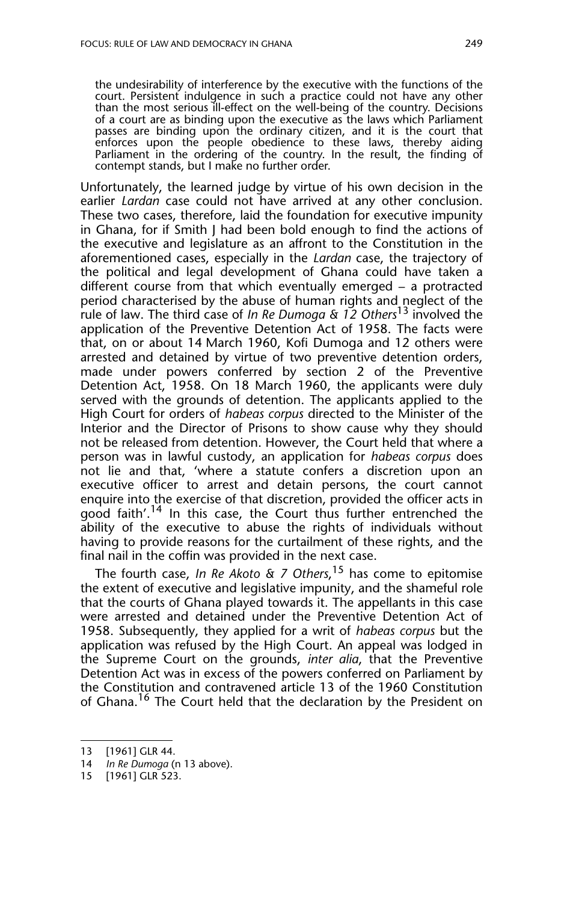the undesirability of interference by the executive with the functions of the court. Persistent indulgence in such a practice could not have any other than the most serious ill-effect on the well-being of the country. Decisions of a court are as binding upon the executive as the laws which Parliament passes are binding upon the ordinary citizen, and it is the court that enforces upon the people obedience to these laws, thereby aiding Parliament in the ordering of the country. In the result, the finding of contempt stands, but I make no further order.

Unfortunately, the learned judge by virtue of his own decision in the earlier *Lardan* case could not have arrived at any other conclusion. These two cases, therefore, laid the foundation for executive impunity in Ghana, for if Smith J had been bold enough to find the actions of the executive and legislature as an affront to the Constitution in the aforementioned cases, especially in the *Lardan* case, the trajectory of the political and legal development of Ghana could have taken a different course from that which eventually emerged – a protracted period characterised by the abuse of human rights and neglect of the rule of law. The third case of *In Re Dumoga & 12 Others*13 involved the application of the Preventive Detention Act of 1958. The facts were that, on or about 14 March 1960, Kofi Dumoga and 12 others were arrested and detained by virtue of two preventive detention orders, made under powers conferred by section 2 of the Preventive Detention Act, 1958. On 18 March 1960, the applicants were duly served with the grounds of detention. The applicants applied to the High Court for orders of *habeas corpus* directed to the Minister of the Interior and the Director of Prisons to show cause why they should not be released from detention. However, the Court held that where a person was in lawful custody, an application for *habeas corpus* does not lie and that, 'where a statute confers a discretion upon an executive officer to arrest and detain persons, the court cannot enquire into the exercise of that discretion, provided the officer acts in good faith'.<sup>14</sup> In this case, the Court thus further entrenched the ability of the executive to abuse the rights of individuals without having to provide reasons for the curtailment of these rights, and the final nail in the coffin was provided in the next case.

The fourth case, *In Re Akoto & 7 Others*, 15 has come to epitomise the extent of executive and legislative impunity, and the shameful role that the courts of Ghana played towards it. The appellants in this case were arrested and detained under the Preventive Detention Act of 1958. Subsequently, they applied for a writ of *habeas corpus* but the application was refused by the High Court. An appeal was lodged in the Supreme Court on the grounds, *inter alia*, that the Preventive Detention Act was in excess of the powers conferred on Parliament by the Constitution and contravened article 13 of the 1960 Constitution of Ghana.<sup>16</sup> The Court held that the declaration by the President on

<sup>13 [1961]</sup> GLR 44.

<sup>14</sup> *In Re Dumoga* (n 13 above).

<sup>15 [1961]</sup> GLR 523.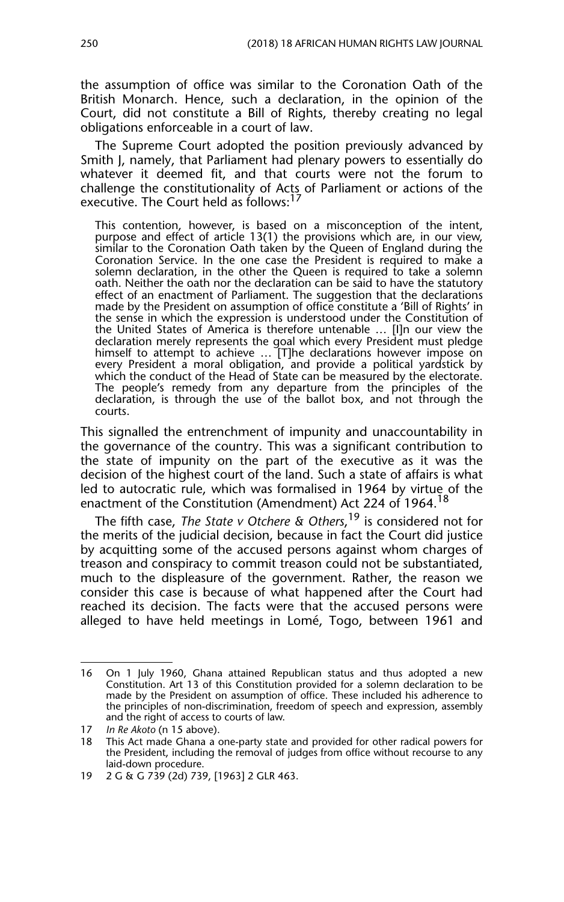the assumption of office was similar to the Coronation Oath of the British Monarch. Hence, such a declaration, in the opinion of the Court, did not constitute a Bill of Rights, thereby creating no legal obligations enforceable in a court of law.

The Supreme Court adopted the position previously advanced by Smith J, namely, that Parliament had plenary powers to essentially do whatever it deemed fit, and that courts were not the forum to challenge the constitutionality of Acts of Parliament or actions of the executive. The Court held as follows:<sup>1</sup>

This contention, however, is based on a misconception of the intent, purpose and effect of article 13(1) the provisions which are, in our view, similar to the Coronation Oath taken by the Queen of England during the Coronation Service. In the one case the President is required to make a solemn declaration, in the other the Queen is required to take a solemn oath. Neither the oath nor the declaration can be said to have the statutory effect of an enactment of Parliament. The suggestion that the declarations made by the President on assumption of office constitute a 'Bill of Rights' in the sense in which the expression is understood under the Constitution of the United States of America is therefore untenable … [I]n our view the declaration merely represents the goal which every President must pledge himself to attempt to achieve … [T]he declarations however impose on every President a moral obligation, and provide a political yardstick by which the conduct of the Head of State can be measured by the electorate. The people's remedy from any departure from the principles of the declaration, is through the use of the ballot box, and not through the courts.

This signalled the entrenchment of impunity and unaccountability in the governance of the country. This was a significant contribution to the state of impunity on the part of the executive as it was the decision of the highest court of the land. Such a state of affairs is what led to autocratic rule, which was formalised in 1964 by virtue of the enactment of the Constitution (Amendment) Act 224 of 1964.<sup>18</sup>

The fifth case, *The State v Otchere & Others*, 19 is considered not for the merits of the judicial decision, because in fact the Court did justice by acquitting some of the accused persons against whom charges of treason and conspiracy to commit treason could not be substantiated, much to the displeasure of the government. Rather, the reason we consider this case is because of what happened after the Court had reached its decision. The facts were that the accused persons were alleged to have held meetings in Lomé, Togo, between 1961 and

<sup>16</sup> On 1 July 1960, Ghana attained Republican status and thus adopted a new Constitution. Art 13 of this Constitution provided for a solemn declaration to be made by the President on assumption of office. These included his adherence to the principles of non-discrimination, freedom of speech and expression, assembly and the right of access to courts of law.

<sup>17</sup> *In Re Akoto* (n 15 above).

<sup>18</sup> This Act made Ghana a one-party state and provided for other radical powers for the President, including the removal of judges from office without recourse to any laid-down procedure.

<sup>19 2</sup> G & G 739 (2d) 739, [1963] 2 GLR 463.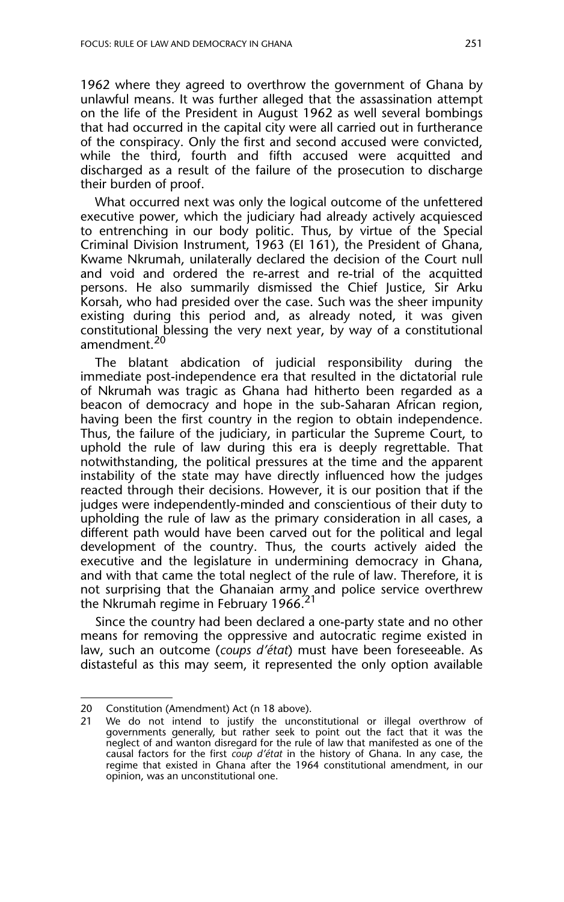1962 where they agreed to overthrow the government of Ghana by unlawful means. It was further alleged that the assassination attempt on the life of the President in August 1962 as well several bombings that had occurred in the capital city were all carried out in furtherance of the conspiracy. Only the first and second accused were convicted, while the third, fourth and fifth accused were acquitted and discharged as a result of the failure of the prosecution to discharge their burden of proof.

What occurred next was only the logical outcome of the unfettered executive power, which the judiciary had already actively acquiesced to entrenching in our body politic. Thus, by virtue of the Special Criminal Division Instrument, 1963 (EI 161), the President of Ghana, Kwame Nkrumah, unilaterally declared the decision of the Court null and void and ordered the re-arrest and re-trial of the acquitted persons. He also summarily dismissed the Chief Justice, Sir Arku Korsah, who had presided over the case. Such was the sheer impunity existing during this period and, as already noted, it was given constitutional blessing the very next year, by way of a constitutional amendment.<sup>20</sup>

The blatant abdication of judicial responsibility during the immediate post-independence era that resulted in the dictatorial rule of Nkrumah was tragic as Ghana had hitherto been regarded as a beacon of democracy and hope in the sub-Saharan African region, having been the first country in the region to obtain independence. Thus, the failure of the judiciary, in particular the Supreme Court, to uphold the rule of law during this era is deeply regrettable. That notwithstanding, the political pressures at the time and the apparent instability of the state may have directly influenced how the judges reacted through their decisions. However, it is our position that if the judges were independently-minded and conscientious of their duty to upholding the rule of law as the primary consideration in all cases, a different path would have been carved out for the political and legal development of the country. Thus, the courts actively aided the executive and the legislature in undermining democracy in Ghana, and with that came the total neglect of the rule of law. Therefore, it is not surprising that the Ghanaian army and police service overthrew the Nkrumah regime in February 1966.<sup>21</sup>

Since the country had been declared a one-party state and no other means for removing the oppressive and autocratic regime existed in law, such an outcome (*coups d'état*) must have been foreseeable. As distasteful as this may seem, it represented the only option available

<sup>20</sup> Constitution (Amendment) Act (n 18 above).

<sup>21</sup> We do not intend to justify the unconstitutional or illegal overthrow of governments generally, but rather seek to point out the fact that it was the neglect of and wanton disregard for the rule of law that manifested as one of the causal factors for the first *coup d'état* in the history of Ghana. In any case, the regime that existed in Ghana after the 1964 constitutional amendment, in our opinion, was an unconstitutional one.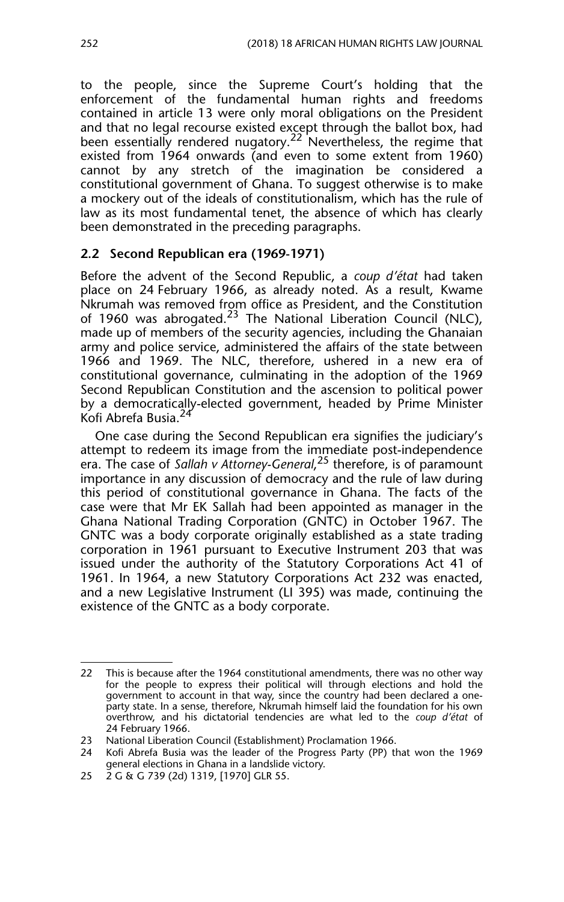to the people, since the Supreme Court's holding that the enforcement of the fundamental human rights and freedoms contained in article 13 were only moral obligations on the President and that no legal recourse existed except through the ballot box, had been essentially rendered nugatory.<sup>22</sup> Nevertheless, the regime that existed from 1964 onwards (and even to some extent from 1960) cannot by any stretch of the imagination be considered a constitutional government of Ghana. To suggest otherwise is to make a mockery out of the ideals of constitutionalism, which has the rule of law as its most fundamental tenet, the absence of which has clearly been demonstrated in the preceding paragraphs.

#### **2.2 Second Republican era (1969-1971)**

Before the advent of the Second Republic, a *coup d'état* had taken place on 24 February 1966, as already noted. As a result, Kwame Nkrumah was removed from office as President, and the Constitution of 1960 was abrogated. $23$  The National Liberation Council (NLC), made up of members of the security agencies, including the Ghanaian army and police service, administered the affairs of the state between 1966 and 1969. The NLC, therefore, ushered in a new era of constitutional governance, culminating in the adoption of the 1969 Second Republican Constitution and the ascension to political power by a democratically-elected government, headed by Prime Minister Kofi Abrefa Busia.24

One case during the Second Republican era signifies the judiciary's attempt to redeem its image from the immediate post-independence era. The case of *Sallah v Attorney-General*, 25 therefore, is of paramount importance in any discussion of democracy and the rule of law during this period of constitutional governance in Ghana. The facts of the case were that Mr EK Sallah had been appointed as manager in the Ghana National Trading Corporation (GNTC) in October 1967. The GNTC was a body corporate originally established as a state trading corporation in 1961 pursuant to Executive Instrument 203 that was issued under the authority of the Statutory Corporations Act 41 of 1961. In 1964, a new Statutory Corporations Act 232 was enacted, and a new Legislative Instrument (LI 395) was made, continuing the existence of the GNTC as a body corporate.

<sup>22</sup> This is because after the 1964 constitutional amendments, there was no other way for the people to express their political will through elections and hold the government to account in that way, since the country had been declared a oneparty state. In a sense, therefore, Nkrumah himself laid the foundation for his own overthrow, and his dictatorial tendencies are what led to the *coup d'état* of 24 February 1966.

<sup>23</sup> National Liberation Council (Establishment) Proclamation 1966.

<sup>24</sup> Kofi Abrefa Busia was the leader of the Progress Party (PP) that won the 1969 general elections in Ghana in a landslide victory.

<sup>25 2</sup> G & G 739 (2d) 1319, [1970] GLR 55.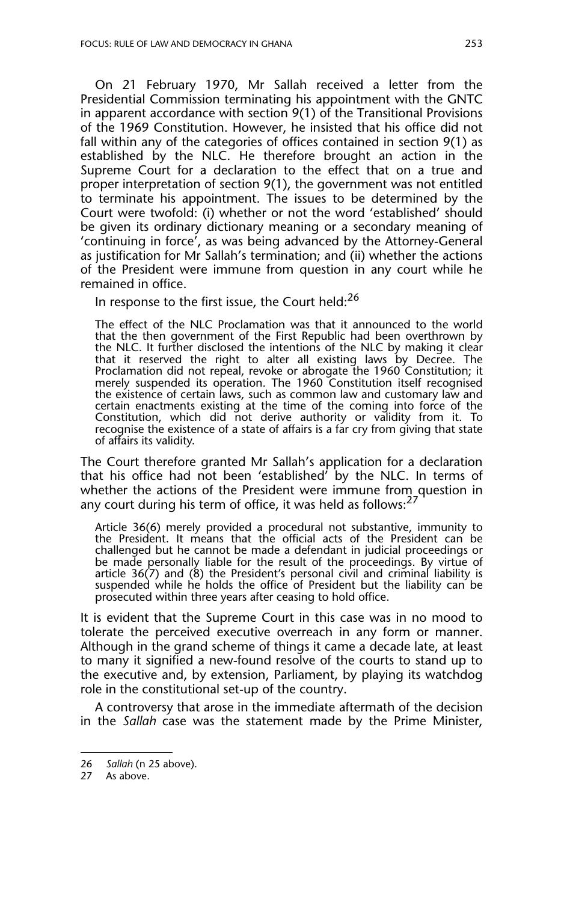On 21 February 1970, Mr Sallah received a letter from the Presidential Commission terminating his appointment with the GNTC in apparent accordance with section 9(1) of the Transitional Provisions of the 1969 Constitution. However, he insisted that his office did not fall within any of the categories of offices contained in section 9(1) as established by the NLC. He therefore brought an action in the Supreme Court for a declaration to the effect that on a true and proper interpretation of section 9(1), the government was not entitled to terminate his appointment. The issues to be determined by the Court were twofold: (i) whether or not the word 'established' should be given its ordinary dictionary meaning or a secondary meaning of 'continuing in force', as was being advanced by the Attorney-General as justification for Mr Sallah's termination; and (ii) whether the actions of the President were immune from question in any court while he remained in office.

In response to the first issue, the Court held: $^{26}$ 

The effect of the NLC Proclamation was that it announced to the world that the then government of the First Republic had been overthrown by the NLC. It further disclosed the intentions of the NLC by making it clear that it reserved the right to alter all existing laws by Decree. The Proclamation did not repeal, revoke or abrogate the 1960 Constitution; it merely suspended its operation. The 1960 Constitution itself recognised the existence of certain laws, such as common law and customary law and certain enactments existing at the time of the coming into force of the Constitution, which did not derive authority or validity from it. To recognise the existence of a state of affairs is a far cry from giving that state of affairs its validity.

The Court therefore granted Mr Sallah's application for a declaration that his office had not been 'established' by the NLC. In terms of whether the actions of the President were immune from question in any court during his term of office, it was held as follows:<sup>27</sup>

Article 36(6) merely provided a procedural not substantive, immunity to the President. It means that the official acts of the President can be challenged but he cannot be made a defendant in judicial proceedings or be made personally liable for the result of the proceedings. By virtue of article 36(7) and (8) the President's personal civil and criminal liability is suspended while he holds the office of President but the liability can be prosecuted within three years after ceasing to hold office.

It is evident that the Supreme Court in this case was in no mood to tolerate the perceived executive overreach in any form or manner. Although in the grand scheme of things it came a decade late, at least to many it signified a new-found resolve of the courts to stand up to the executive and, by extension, Parliament, by playing its watchdog role in the constitutional set-up of the country.

A controversy that arose in the immediate aftermath of the decision in the *Sallah* case was the statement made by the Prime Minister,

<sup>26</sup> *Sallah* (n 25 above).

<sup>27</sup> As above.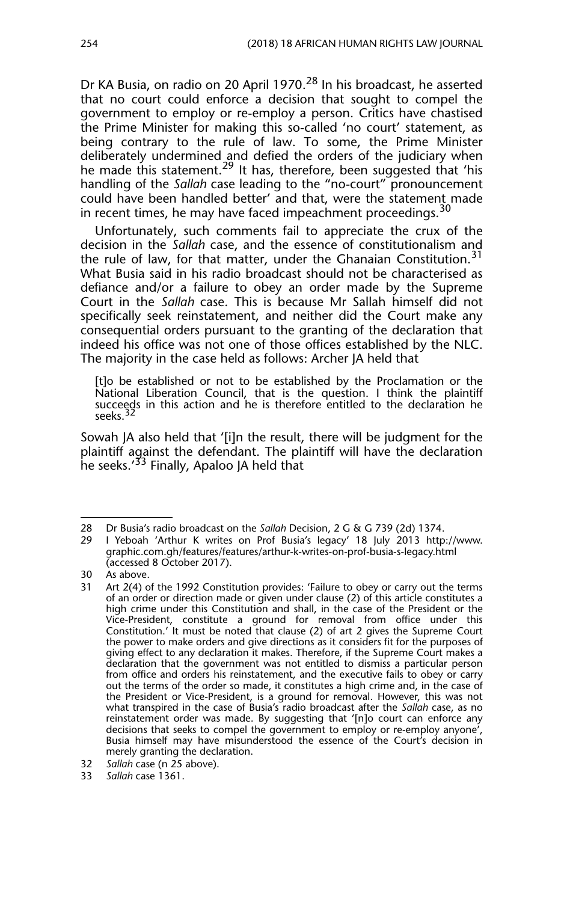Dr KA Busia, on radio on 20 April 1970.<sup>28</sup> In his broadcast, he asserted that no court could enforce a decision that sought to compel the government to employ or re-employ a person. Critics have chastised the Prime Minister for making this so-called 'no court' statement, as being contrary to the rule of law. To some, the Prime Minister deliberately undermined and defied the orders of the judiciary when he made this statement.<sup>29</sup> It has, therefore, been suggested that 'his handling of the *Sallah* case leading to the "no-court" pronouncement could have been handled better' and that, were the statement made in recent times, he may have faced impeachment proceedings.<sup>30</sup>

Unfortunately, such comments fail to appreciate the crux of the decision in the *Sallah* case, and the essence of constitutionalism and the rule of law, for that matter, under the Ghanaian Constitution.<sup>31</sup> What Busia said in his radio broadcast should not be characterised as defiance and/or a failure to obey an order made by the Supreme Court in the *Sallah* case. This is because Mr Sallah himself did not specifically seek reinstatement, and neither did the Court make any consequential orders pursuant to the granting of the declaration that indeed his office was not one of those offices established by the NLC. The majority in the case held as follows: Archer JA held that

[t]o be established or not to be established by the Proclamation or the National Liberation Council, that is the question. I think the plaintiff succeeds in this action and he is therefore entitled to the declaration he seeks.

Sowah JA also held that '[i]n the result, there will be judgment for the plaintiff against the defendant. The plaintiff will have the declaration he seeks.'<sup>33</sup> Finally, Apaloo JA held that

<sup>28</sup> Dr Busia's radio broadcast on the *Sallah* Decision, 2 G & G 739 (2d) 1374.

<sup>29</sup> I Yeboah 'Arthur K writes on Prof Busia's legacy' 18 July 2013 http://www. graphic.com.gh/features/features/arthur-k-writes-on-prof-busia-s-legacy.html (accessed 8 October 2017).

<sup>30</sup> As above.<br>31 Art  $2(4)$  o

Art 2(4) of the 1992 Constitution provides: 'Failure to obey or carry out the terms of an order or direction made or given under clause (2) of this article constitutes a high crime under this Constitution and shall, in the case of the President or the Vice-President, constitute a ground for removal from office under this Constitution.' It must be noted that clause (2) of art 2 gives the Supreme Court the power to make orders and give directions as it considers fit for the purposes of giving effect to any declaration it makes. Therefore, if the Supreme Court makes a declaration that the government was not entitled to dismiss a particular person from office and orders his reinstatement, and the executive fails to obey or carry out the terms of the order so made, it constitutes a high crime and, in the case of the President or Vice-President, is a ground for removal. However, this was not what transpired in the case of Busia's radio broadcast after the *Sallah* case, as no reinstatement order was made. By suggesting that '[n]o court can enforce any decisions that seeks to compel the government to employ or re-employ anyone', Busia himself may have misunderstood the essence of the Court's decision in merely granting the declaration.

<sup>32</sup> *Sallah* case (n 25 above).

<sup>33</sup> *Sallah* case 1361.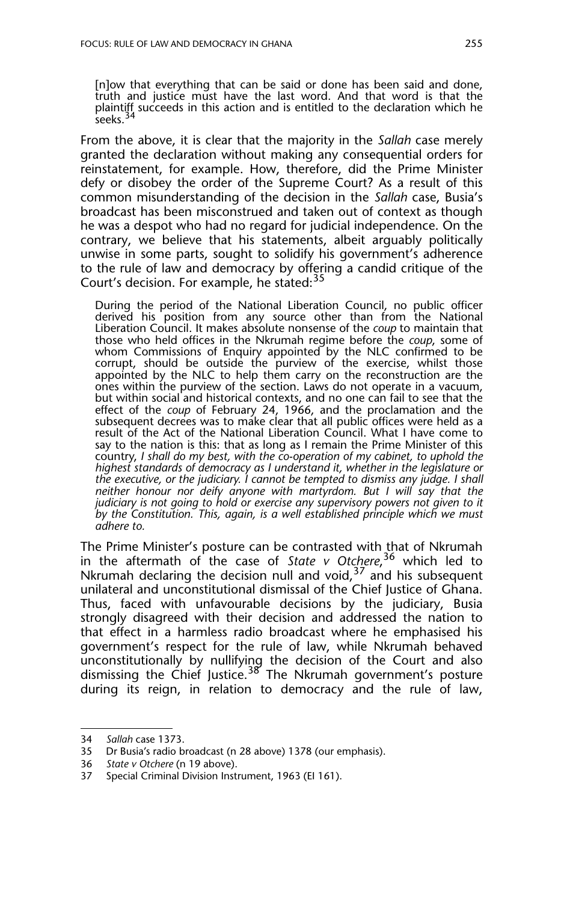[n]ow that everything that can be said or done has been said and done, truth and justice must have the last word. And that word is that the plaintiff succeeds in this action and is entitled to the declaration which he seeks.<sup>34</sup>

From the above, it is clear that the majority in the *Sallah* case merely granted the declaration without making any consequential orders for reinstatement, for example. How, therefore, did the Prime Minister defy or disobey the order of the Supreme Court? As a result of this common misunderstanding of the decision in the *Sallah* case, Busia's broadcast has been misconstrued and taken out of context as though he was a despot who had no regard for judicial independence. On the contrary, we believe that his statements, albeit arguably politically unwise in some parts, sought to solidify his government's adherence to the rule of law and democracy by offering a candid critique of the Court's decision. For example, he stated:<sup>35</sup>

During the period of the National Liberation Council, no public officer derived his position from any source other than from the National Liberation Council. It makes absolute nonsense of the *coup* to maintain that those who held offices in the Nkrumah regime before the *coup*, some of whom Commissions of Enquiry appointed by the NLC confirmed to be corrupt, should be outside the purview of the exercise, whilst those appointed by the NLC to help them carry on the reconstruction are the ones within the purview of the section. Laws do not operate in a vacuum, but within social and historical contexts, and no one can fail to see that the effect of the *coup* of February 24, 1966, and the proclamation and the subsequent decrees was to make clear that all public offices were held as a result of the Act of the National Liberation Council. What I have come to say to the nation is this: that as long as I remain the Prime Minister of this country, *I shall do my best, with the co-operation of my cabinet, to uphold the highest standards of democracy as I understand it, whether in the legislature or the executive, or the judiciary. I cannot be tempted to dismiss any judge. I shall neither honour nor deify anyone with martyrdom. But I will say that the judiciary is not going to hold or exercise any supervisory powers not given to it by the Constitution. This, again, is a well established principle which we must adhere to.* 

The Prime Minister's posture can be contrasted with that of Nkrumah in the aftermath of the case of *State v Otchere*, 36 which led to Nkrumah declaring the decision null and void,  $37$  and his subsequent unilateral and unconstitutional dismissal of the Chief Justice of Ghana. Thus, faced with unfavourable decisions by the judiciary, Busia strongly disagreed with their decision and addressed the nation to that effect in a harmless radio broadcast where he emphasised his government's respect for the rule of law, while Nkrumah behaved unconstitutionally by nullifying the decision of the Court and also dismissing the Chief Justice.<sup>38</sup> The Nkrumah government's posture during its reign, in relation to democracy and the rule of law,

<sup>34</sup> *Sallah* case 1373.

Dr Busia's radio broadcast (n 28 above) 1378 (our emphasis).

<sup>36</sup> *State v Otchere* (n 19 above).

<sup>37</sup> Special Criminal Division Instrument, 1963 (EI 161).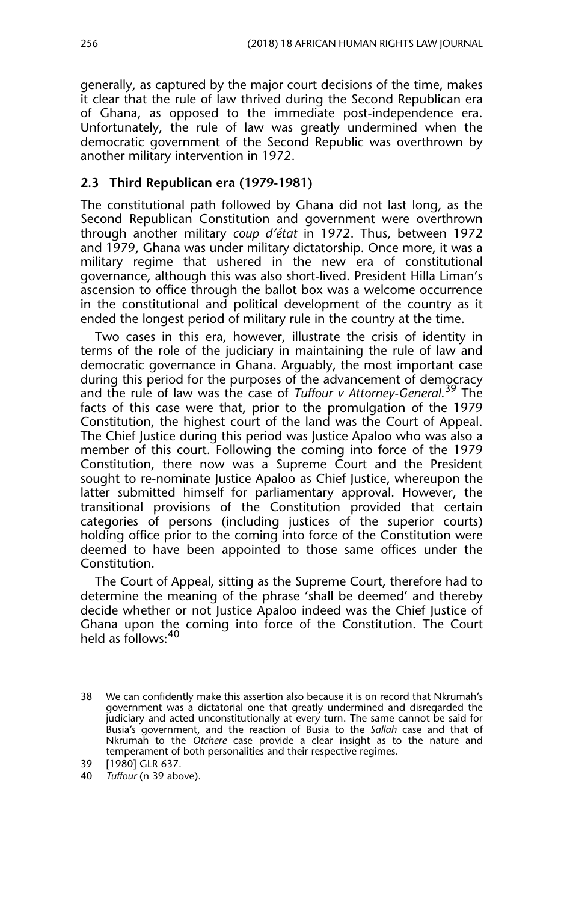generally, as captured by the major court decisions of the time, makes it clear that the rule of law thrived during the Second Republican era of Ghana, as opposed to the immediate post-independence era. Unfortunately, the rule of law was greatly undermined when the democratic government of the Second Republic was overthrown by another military intervention in 1972.

#### **2.3 Third Republican era (1979-1981)**

The constitutional path followed by Ghana did not last long, as the Second Republican Constitution and government were overthrown through another military *coup d'état* in 1972. Thus, between 1972 and 1979, Ghana was under military dictatorship. Once more, it was a military regime that ushered in the new era of constitutional governance, although this was also short-lived. President Hilla Liman's ascension to office through the ballot box was a welcome occurrence in the constitutional and political development of the country as it ended the longest period of military rule in the country at the time.

Two cases in this era, however, illustrate the crisis of identity in terms of the role of the judiciary in maintaining the rule of law and democratic governance in Ghana. Arguably, the most important case during this period for the purposes of the advancement of democracy and the rule of law was the case of *Tuffour v Attorney-General*. 39 The facts of this case were that, prior to the promulgation of the 1979 Constitution, the highest court of the land was the Court of Appeal. The Chief Justice during this period was Justice Apaloo who was also a member of this court. Following the coming into force of the 1979 Constitution, there now was a Supreme Court and the President sought to re-nominate Justice Apaloo as Chief Justice, whereupon the latter submitted himself for parliamentary approval. However, the transitional provisions of the Constitution provided that certain categories of persons (including justices of the superior courts) holding office prior to the coming into force of the Constitution were deemed to have been appointed to those same offices under the Constitution.

The Court of Appeal, sitting as the Supreme Court, therefore had to determine the meaning of the phrase 'shall be deemed' and thereby decide whether or not Justice Apaloo indeed was the Chief Justice of Ghana upon the coming into force of the Constitution. The Court held as follows: 40

<sup>38</sup> We can confidently make this assertion also because it is on record that Nkrumah's government was a dictatorial one that greatly undermined and disregarded the judiciary and acted unconstitutionally at every turn. The same cannot be said for Busia's government, and the reaction of Busia to the *Sallah* case and that of Nkrumah to the *Otchere* case provide a clear insight as to the nature and temperament of both personalities and their respective regimes.

<sup>39 [1980]</sup> GLR 637.

<sup>40</sup> *Tuffour* (n 39 above).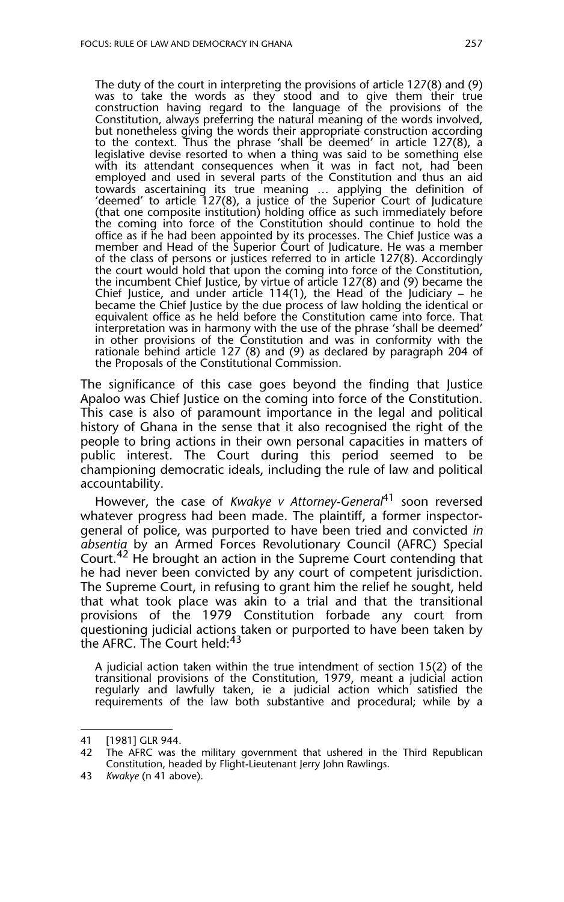The duty of the court in interpreting the provisions of article 127(8) and (9) was to take the words as they stood and to give them their true construction having regard to the language of the provisions of the Constitution, always preferring the natural meaning of the words involved, but nonetheless giving the words their appropriate construction according to the context. Thus the phrase 'shall be deemed' in article 127(8), a legislative devise resorted to when a thing was said to be something  $e^{i\theta}$ with its attendant consequences when it was in fact not, had been employed and used in several parts of the Constitution and thus an aid towards ascertaining its true meaning … applying the definition of 'deemed' to article 127(8), a justice of the Superior Court of Judicature (that one composite institution) holding office as such immediately before the coming into force of the Constitution should continue to hold the office as if he had been appointed by its processes. The Chief Justice was a member and Head of the Superior Court of Judicature. He was a member of the class of persons or justices referred to in article 127(8). Accordingly the court would hold that upon the coming into force of the Constitution, the incumbent Chief Justice, by virtue of article 127(8) and (9) became the Chief Justice, and under article 114(1), the Head of the Judiciary – he became the Chief Justice by the due process of law holding the identical or equivalent office as he held before the Constitution came into force. That interpretation was in harmony with the use of the phrase 'shall be deemed' in other provisions of the Constitution and was in conformity with the rationale behind article 127 (8) and (9) as declared by paragraph 204 of the Proposals of the Constitutional Commission.

The significance of this case goes beyond the finding that Justice Apaloo was Chief Justice on the coming into force of the Constitution. This case is also of paramount importance in the legal and political history of Ghana in the sense that it also recognised the right of the people to bring actions in their own personal capacities in matters of public interest. The Court during this period seemed to be championing democratic ideals, including the rule of law and political accountability.

However, the case of *Kwakye v Attorney-General*41 soon reversed whatever progress had been made. The plaintiff, a former inspectorgeneral of police, was purported to have been tried and convicted *in absentia* by an Armed Forces Revolutionary Council (AFRC) Special Court.<sup>42</sup> He brought an action in the Supreme Court contending that he had never been convicted by any court of competent jurisdiction. The Supreme Court, in refusing to grant him the relief he sought, held that what took place was akin to a trial and that the transitional provisions of the 1979 Constitution forbade any court from questioning judicial actions taken or purported to have been taken by the AFRC. The Court held:<sup>43</sup>

A judicial action taken within the true intendment of section 15(2) of the transitional provisions of the Constitution, 1979, meant a judicial action regularly and lawfully taken, ie a judicial action which satisfied the requirements of the law both substantive and procedural; while by a

<sup>41 [1981]</sup> GLR 944.

<sup>42</sup> The AFRC was the military government that ushered in the Third Republican Constitution, headed by Flight-Lieutenant Jerry John Rawlings.

<sup>43</sup> *Kwakye* (n 41 above).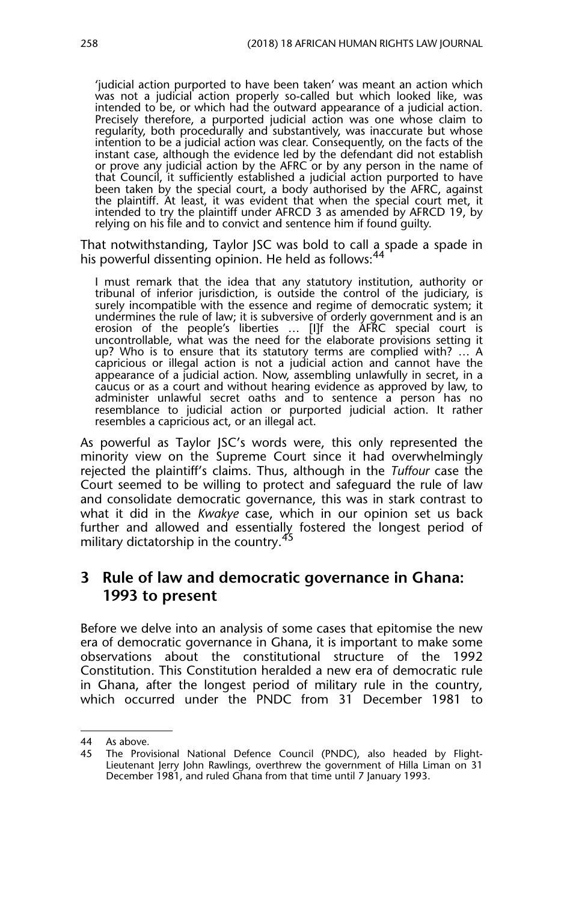'judicial action purported to have been taken' was meant an action which was not a judicial action properly so-called but which looked like, was intended to be, or which had the outward appearance of a judicial action. Precisely therefore, a purported judicial action was one whose claim to regularity, both procedurally and substantively, was inaccurate but whose intention to be a judicial action was clear. Consequently, on the facts of the instant case, although the evidence led by the defendant did not establish or prove any judicial action by the AFRC or by any person in the name of that Council, it sufficiently established a judicial action purported to have been taken by the special court, a body authorised by the AFRC, against the plaintiff. At least, it was evident that when the special court met, it intended to try the plaintiff under AFRCD 3 as amended by AFRCD 19, by relying on his file and to convict and sentence him if found guilty.

That notwithstanding, Taylor JSC was bold to call a spade a spade in his powerful dissenting opinion. He held as follows:<sup>44</sup>

I must remark that the idea that any statutory institution, authority or tribunal of inferior jurisdiction, is outside the control of the judiciary, is surely incompatible with the essence and regime of democratic system; it undermines the rule of law; it is subversive of orderly government and is an erosion of the people's liberties … [I]f the AFRC special court is uncontrollable, what was the need for the elaborate provisions setting it up? Who is to ensure that its statutory terms are complied with? … A capricious or illegal action is not a judicial action and cannot have the appearance of a judicial action. Now, assembling unlawfully in secret, in a caucus or as a court and without hearing evidence as approved by law, to administer unlawful secret oaths and to sentence a person has no resemblance to judicial action or purported judicial action. It rather resembles a capricious act, or an illegal act.

As powerful as Taylor JSC's words were, this only represented the minority view on the Supreme Court since it had overwhelmingly rejected the plaintiff's claims. Thus, although in the *Tuffour* case the Court seemed to be willing to protect and safeguard the rule of law and consolidate democratic governance, this was in stark contrast to what it did in the *Kwakye* case, which in our opinion set us back further and allowed and essentially fostered the longest period of military dictatorship in the country.<sup>45</sup>

### **3 Rule of law and democratic governance in Ghana: 1993 to present**

Before we delve into an analysis of some cases that epitomise the new era of democratic governance in Ghana, it is important to make some observations about the constitutional structure of the 1992 Constitution. This Constitution heralded a new era of democratic rule in Ghana, after the longest period of military rule in the country, which occurred under the PNDC from 31 December 1981 to

<sup>44</sup> As above*.*

<sup>45</sup> The Provisional National Defence Council (PNDC), also headed by Flight-Lieutenant Jerry John Rawlings, overthrew the government of Hilla Liman on 31 December 1981, and ruled Ghana from that time until 7 January 1993.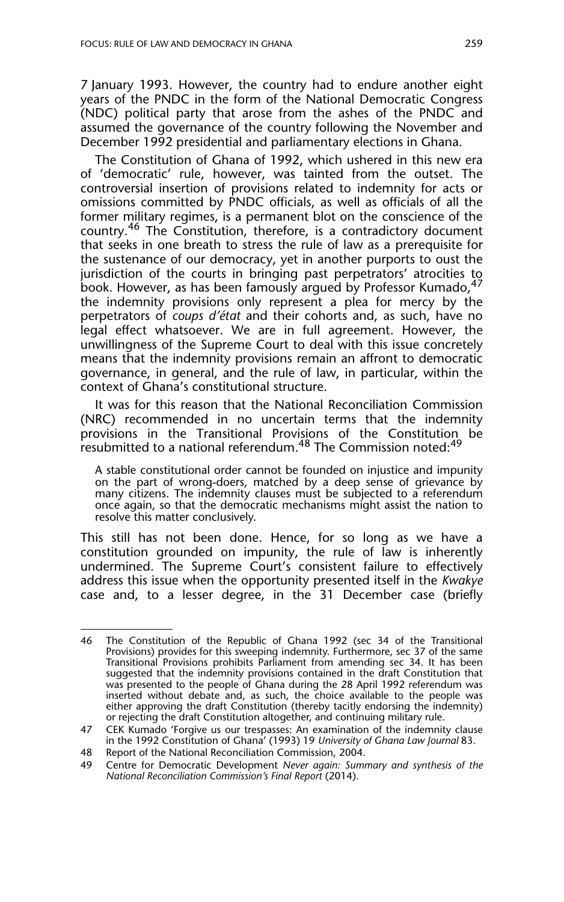7 January 1993. However, the country had to endure another eight years of the PNDC in the form of the National Democratic Congress (NDC) political party that arose from the ashes of the PNDC and assumed the governance of the country following the November and December 1992 presidential and parliamentary elections in Ghana.

The Constitution of Ghana of 1992, which ushered in this new era of 'democratic' rule, however, was tainted from the outset. The controversial insertion of provisions related to indemnity for acts or omissions committed by PNDC officials, as well as officials of all the former military regimes, is a permanent blot on the conscience of the country.46 The Constitution, therefore, is a contradictory document that seeks in one breath to stress the rule of law as a prerequisite for the sustenance of our democracy, yet in another purports to oust the jurisdiction of the courts in bringing past perpetrators' atrocities to book. However, as has been famously argued by Professor Kumado,<sup>47</sup> the indemnity provisions only represent a plea for mercy by the perpetrators of *coups d'état* and their cohorts and, as such, have no legal effect whatsoever. We are in full agreement. However, the unwillingness of the Supreme Court to deal with this issue concretely means that the indemnity provisions remain an affront to democratic governance, in general, and the rule of law, in particular, within the context of Ghana's constitutional structure.

It was for this reason that the National Reconciliation Commission (NRC) recommended in no uncertain terms that the indemnity provisions in the Transitional Provisions of the Constitution be resubmitted to a national referendum.<sup>48</sup> The Commission noted:<sup>49</sup>

A stable constitutional order cannot be founded on injustice and impunity on the part of wrong-doers, matched by a deep sense of grievance by many citizens. The indemnity clauses must be subjected to a referendum once again, so that the democratic mechanisms might assist the nation to resolve this matter conclusively.

This still has not been done. Hence, for so long as we have a constitution grounded on impunity, the rule of law is inherently undermined. The Supreme Court's consistent failure to effectively address this issue when the opportunity presented itself in the *Kwakye* case and, to a lesser degree, in the 31 December case (briefly

<sup>46</sup> The Constitution of the Republic of Ghana 1992 (sec 34 of the Transitional Provisions) provides for this sweeping indemnity. Furthermore, sec 37 of the same Transitional Provisions prohibits Parliament from amending sec 34. It has been suggested that the indemnity provisions contained in the draft Constitution that was presented to the people of Ghana during the 28 April 1992 referendum was inserted without debate and, as such, the choice available to the people was either approving the draft Constitution (thereby tacitly endorsing the indemnity) or rejecting the draft Constitution altogether, and continuing military rule.

<sup>47</sup> CEK Kumado 'Forgive us our trespasses: An examination of the indemnity clause in the 1992 Constitution of Ghana' (1993) 19 *University of Ghana Law Journal* 83.

<sup>48</sup> Report of the National Reconciliation Commission, 2004.<br>49 Centre for Democratic Development Never gagin: Sum

<sup>49</sup> Centre for Democratic Development *Never again: Summary and synthesis of the National Reconciliation Commission's Final Report* (2014).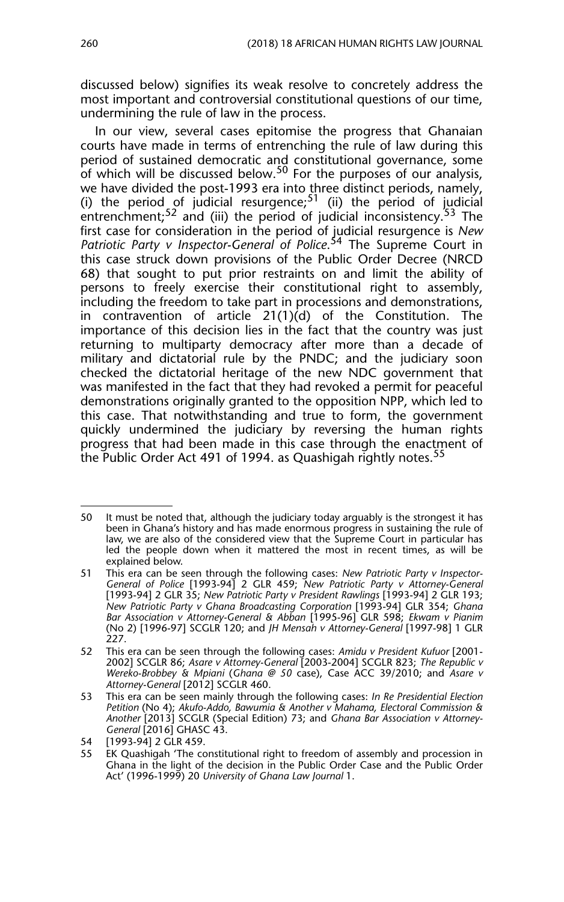discussed below) signifies its weak resolve to concretely address the most important and controversial constitutional questions of our time, undermining the rule of law in the process.

In our view, several cases epitomise the progress that Ghanaian courts have made in terms of entrenching the rule of law during this period of sustained democratic and constitutional governance, some of which will be discussed below.50 For the purposes of our analysis, we have divided the post-1993 era into three distinct periods, namely, (i) the period of judicial resurgence;<sup>51</sup> (ii) the period of judicial entrenchment;<sup>52</sup> and (iii) the period of judicial inconsistency.<sup>53</sup> The first case for consideration in the period of judicial resurgence is *New* Patriotic Party v Inspector-General of Police.<sup>54</sup> The Supreme Court in this case struck down provisions of the Public Order Decree (NRCD 68) that sought to put prior restraints on and limit the ability of persons to freely exercise their constitutional right to assembly, including the freedom to take part in processions and demonstrations, in contravention of article 21(1)(d) of the Constitution. The importance of this decision lies in the fact that the country was just returning to multiparty democracy after more than a decade of military and dictatorial rule by the PNDC; and the judiciary soon checked the dictatorial heritage of the new NDC government that was manifested in the fact that they had revoked a permit for peaceful demonstrations originally granted to the opposition NPP, which led to this case. That notwithstanding and true to form, the government quickly undermined the judiciary by reversing the human rights progress that had been made in this case through the enactment of the Public Order Act 491 of 1994. as Quashigah rightly notes.<sup>55</sup>

<sup>50</sup> It must be noted that, although the judiciary today arguably is the strongest it has been in Ghana's history and has made enormous progress in sustaining the rule of law, we are also of the considered view that the Supreme Court in particular has led the people down when it mattered the most in recent times, as will be explained below.

<sup>51</sup> This era can be seen through the following cases: *New Patriotic Party v Inspector-General of Police* [1993-94] 2 GLR 459; *New Patriotic Party v Attorney-General* [1993-94] 2 GLR 35; *New Patriotic Party v President Rawlings* [1993-94] 2 GLR 193; *New Patriotic Party v Ghana Broadcasting Corporation* [1993-94] GLR 354; *Ghana Bar Association v Attorney-General & Abban* [1995-96] GLR 598; *Ekwam v Pianim* (No 2) [1996-97] SCGLR 120; and *JH Mensah v Attorney-General* [1997-98] 1 GLR 227.

<sup>52</sup> This era can be seen through the following cases: *Amidu v President Kufuor* [2001- 2002] SCGLR 86; *Asare v Attorney-General* [2003-2004] SCGLR 823; *The Republic v Wereko-Brobbey & Mpiani* (*Ghana @ 50* case), Case ACC 39/2010; and *Asare v Attorney-General* [2012] SCGLR 460.

<sup>53</sup> This era can be seen mainly through the following cases: *In Re Presidential Election Petition* (No 4); *Akufo-Addo, Bawumia & Another v Mahama, Electoral Commission & Another* [2013] SCGLR (Special Edition) 73; and *Ghana Bar Association v Attorney-General* [2016] GHASC 43.

<sup>54 [1993-94] 2</sup> GLR 459.

<sup>55</sup> EK Quashigah 'The constitutional right to freedom of assembly and procession in Ghana in the light of the decision in the Public Order Case and the Public Order Act' (1996-1999) 20 *University of Ghana Law Journal* 1.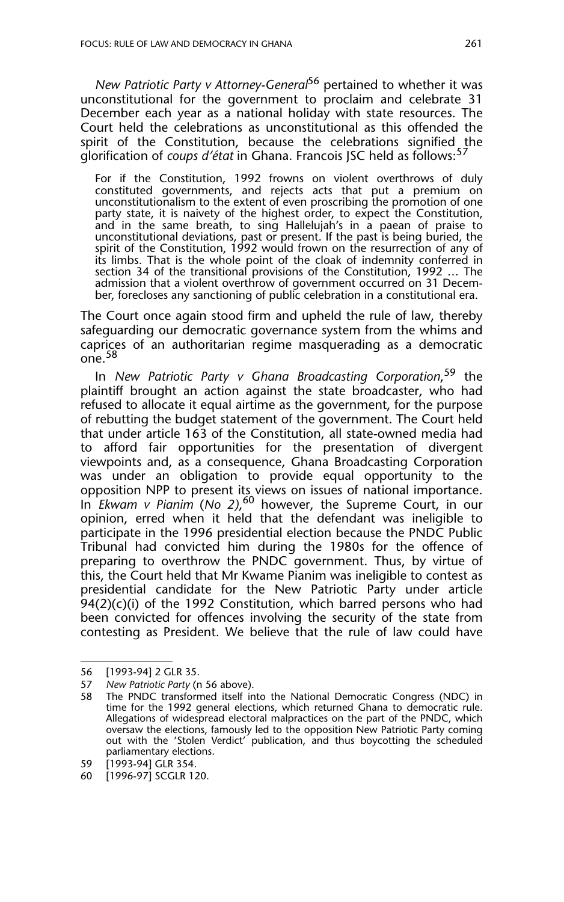*New Patriotic Party v Attorney-General*56 pertained to whether it was unconstitutional for the government to proclaim and celebrate 31 December each year as a national holiday with state resources. The Court held the celebrations as unconstitutional as this offended the spirit of the Constitution, because the celebrations signified the glorification of *coups d'état* in Ghana. Francois JSC held as follows:<sup>5</sup>

For if the Constitution, 1992 frowns on violent overthrows of duly constituted governments, and rejects acts that put a premium on unconstitutionalism to the extent of even proscribing the promotion of one party state, it is naivety of the highest order, to expect the Constitution, and in the same breath, to sing Hallelujah's in a paean of praise to unconstitutional deviations, past or present. If the past is being buried, the spirit of the Constitution, 1992 would frown on the resurrection of any of its limbs. That is the whole point of the cloak of indemnity conferred in section 34 of the transitional provisions of the Constitution, 1992 … The admission that a violent overthrow of government occurred on 31 December, forecloses any sanctioning of public celebration in a constitutional era.

The Court once again stood firm and upheld the rule of law, thereby safeguarding our democratic governance system from the whims and caprices of an authoritarian regime masquerading as a democratic one.<sup>58</sup>

In *New Patriotic Party v Ghana Broadcasting Corporation*, 59 the plaintiff brought an action against the state broadcaster, who had refused to allocate it equal airtime as the government, for the purpose of rebutting the budget statement of the government. The Court held that under article 163 of the Constitution, all state-owned media had to afford fair opportunities for the presentation of divergent viewpoints and, as a consequence, Ghana Broadcasting Corporation was under an obligation to provide equal opportunity to the opposition NPP to present its views on issues of national importance. In *Ekwam v Pianim* (*No 2)*, 60 however, the Supreme Court, in our opinion, erred when it held that the defendant was ineligible to participate in the 1996 presidential election because the PNDC Public Tribunal had convicted him during the 1980s for the offence of preparing to overthrow the PNDC government. Thus, by virtue of this, the Court held that Mr Kwame Pianim was ineligible to contest as presidential candidate for the New Patriotic Party under article 94(2)(c)(i) of the 1992 Constitution, which barred persons who had been convicted for offences involving the security of the state from contesting as President. We believe that the rule of law could have

<sup>56 [1993-94] 2</sup> GLR 35.

<sup>57</sup> *New Patriotic Party* (n 56 above).

<sup>58</sup> The PNDC transformed itself into the National Democratic Congress (NDC) in time for the 1992 general elections, which returned Ghana to democratic rule. Allegations of widespread electoral malpractices on the part of the PNDC, which oversaw the elections, famously led to the opposition New Patriotic Party coming out with the 'Stolen Verdict' publication, and thus boycotting the scheduled parliamentary elections.

<sup>59 [1993-94]</sup> GLR 354.

<sup>60 [1996-97]</sup> SCGLR 120.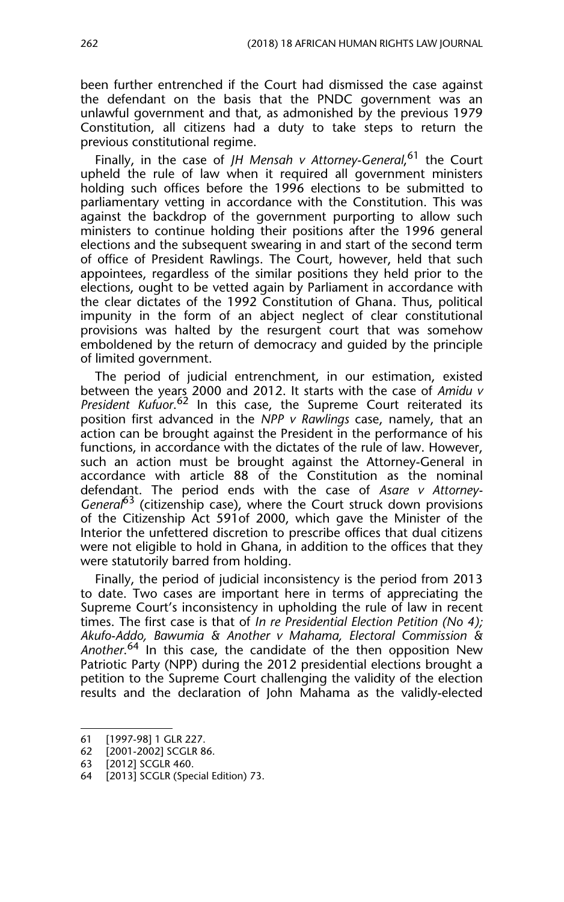been further entrenched if the Court had dismissed the case against the defendant on the basis that the PNDC government was an unlawful government and that, as admonished by the previous 1979 Constitution, all citizens had a duty to take steps to return the previous constitutional regime.

Finally, in the case of *JH Mensah v Attorney-General*, 61 the Court upheld the rule of law when it required all government ministers holding such offices before the 1996 elections to be submitted to parliamentary vetting in accordance with the Constitution. This was against the backdrop of the government purporting to allow such ministers to continue holding their positions after the 1996 general elections and the subsequent swearing in and start of the second term of office of President Rawlings. The Court, however, held that such appointees, regardless of the similar positions they held prior to the elections, ought to be vetted again by Parliament in accordance with the clear dictates of the 1992 Constitution of Ghana. Thus, political impunity in the form of an abject neglect of clear constitutional provisions was halted by the resurgent court that was somehow emboldened by the return of democracy and guided by the principle of limited government.

The period of judicial entrenchment, in our estimation, existed between the years 2000 and 2012. It starts with the case of *Amidu v* President Kufuor.<sup>62</sup> In this case, the Supreme Court reiterated its position first advanced in the *NPP v Rawlings* case, namely, that an action can be brought against the President in the performance of his functions, in accordance with the dictates of the rule of law. However, such an action must be brought against the Attorney-General in accordance with article 88 of the Constitution as the nominal defendant. The period ends with the case of *Asare v Attorney-General*<sup>63</sup> (citizenship case), where the Court struck down provisions of the Citizenship Act 591of 2000, which gave the Minister of the Interior the unfettered discretion to prescribe offices that dual citizens were not eligible to hold in Ghana, in addition to the offices that they were statutorily barred from holding.

Finally, the period of judicial inconsistency is the period from 2013 to date. Two cases are important here in terms of appreciating the Supreme Court's inconsistency in upholding the rule of law in recent times. The first case is that of *In re Presidential Election Petition (No 4); Akufo-Addo, Bawumia & Another v Mahama, Electoral Commission & Another*. 64 In this case, the candidate of the then opposition New Patriotic Party (NPP) during the 2012 presidential elections brought a petition to the Supreme Court challenging the validity of the election results and the declaration of John Mahama as the validly-elected

<sup>61 [1997-98] 1</sup> GLR 227.

<sup>62 [2001-2002]</sup> SCGLR 86.

<sup>63 [2012]</sup> SCGLR 460.

<sup>64 [2013]</sup> SCGLR (Special Edition) 73.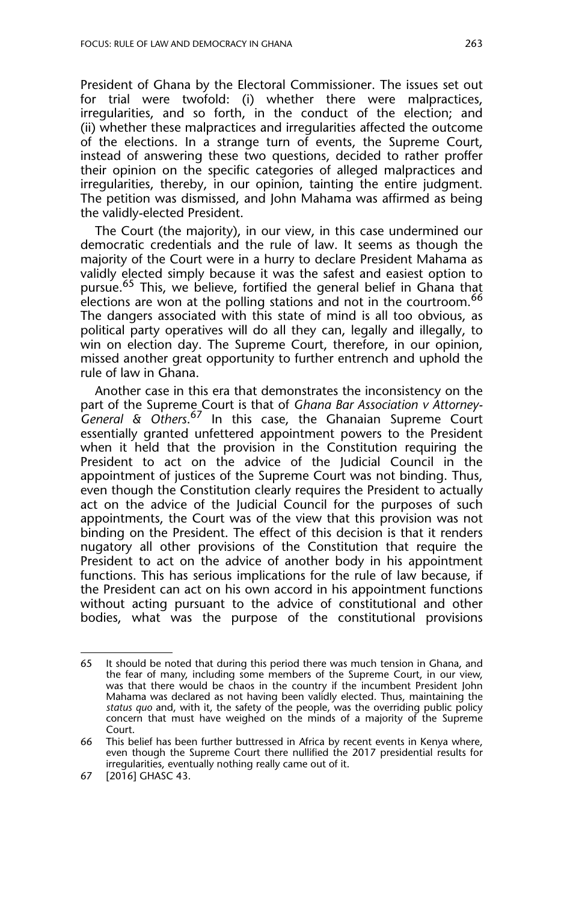President of Ghana by the Electoral Commissioner. The issues set out for trial were twofold: (i) whether there were malpractices, irregularities, and so forth, in the conduct of the election; and (ii) whether these malpractices and irregularities affected the outcome of the elections. In a strange turn of events, the Supreme Court, instead of answering these two questions, decided to rather proffer their opinion on the specific categories of alleged malpractices and irregularities, thereby, in our opinion, tainting the entire judgment. The petition was dismissed, and John Mahama was affirmed as being the validly-elected President.

The Court (the majority), in our view, in this case undermined our democratic credentials and the rule of law. It seems as though the majority of the Court were in a hurry to declare President Mahama as validly elected simply because it was the safest and easiest option to pursue.<sup>65</sup> This, we believe, fortified the general belief in Ghana that elections are won at the polling stations and not in the courtroom.<sup>66</sup> The dangers associated with this state of mind is all too obvious, as political party operatives will do all they can, legally and illegally, to win on election day. The Supreme Court, therefore, in our opinion, missed another great opportunity to further entrench and uphold the rule of law in Ghana.

Another case in this era that demonstrates the inconsistency on the part of the Supreme Court is that of *Ghana Bar Association v Attorney*-*General & Others*. 67 In this case, the Ghanaian Supreme Court essentially granted unfettered appointment powers to the President when it held that the provision in the Constitution requiring the President to act on the advice of the Judicial Council in the appointment of justices of the Supreme Court was not binding. Thus, even though the Constitution clearly requires the President to actually act on the advice of the Judicial Council for the purposes of such appointments, the Court was of the view that this provision was not binding on the President. The effect of this decision is that it renders nugatory all other provisions of the Constitution that require the President to act on the advice of another body in his appointment functions. This has serious implications for the rule of law because, if the President can act on his own accord in his appointment functions without acting pursuant to the advice of constitutional and other bodies, what was the purpose of the constitutional provisions

<sup>65</sup> It should be noted that during this period there was much tension in Ghana, and the fear of many, including some members of the Supreme Court, in our view, was that there would be chaos in the country if the incumbent President John Mahama was declared as not having been validly elected. Thus, maintaining the *status quo* and, with it, the safety of the people, was the overriding public policy concern that must have weighed on the minds of a majority of the Supreme Court.

<sup>66</sup> This belief has been further buttressed in Africa by recent events in Kenya where, even though the Supreme Court there nullified the 2017 presidential results for irregularities, eventually nothing really came out of it.

<sup>67 [2016]</sup> GHASC 43.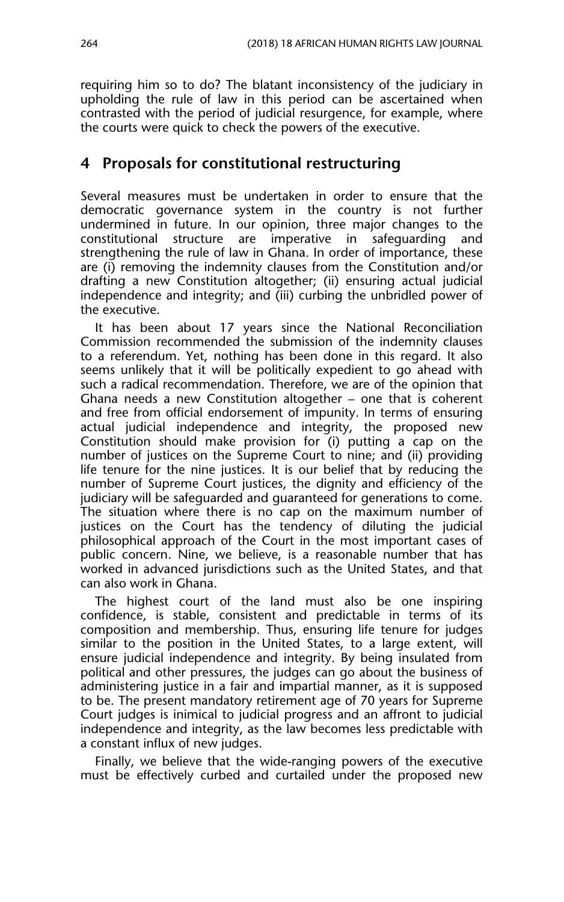requiring him so to do? The blatant inconsistency of the judiciary in upholding the rule of law in this period can be ascertained when contrasted with the period of judicial resurgence, for example, where the courts were quick to check the powers of the executive.

# **4 Proposals for constitutional restructuring**

Several measures must be undertaken in order to ensure that the democratic governance system in the country is not further undermined in future. In our opinion, three major changes to the constitutional structure are imperative in safeguarding and strengthening the rule of law in Ghana. In order of importance, these are (i) removing the indemnity clauses from the Constitution and/or drafting a new Constitution altogether; (ii) ensuring actual judicial independence and integrity; and (iii) curbing the unbridled power of the executive.

It has been about 17 years since the National Reconciliation Commission recommended the submission of the indemnity clauses to a referendum. Yet, nothing has been done in this regard. It also seems unlikely that it will be politically expedient to go ahead with such a radical recommendation. Therefore, we are of the opinion that Ghana needs a new Constitution altogether – one that is coherent and free from official endorsement of impunity. In terms of ensuring actual judicial independence and integrity, the proposed new Constitution should make provision for (i) putting a cap on the number of justices on the Supreme Court to nine; and (ii) providing life tenure for the nine justices. It is our belief that by reducing the number of Supreme Court justices, the dignity and efficiency of the judiciary will be safeguarded and guaranteed for generations to come. The situation where there is no cap on the maximum number of justices on the Court has the tendency of diluting the judicial philosophical approach of the Court in the most important cases of public concern. Nine, we believe, is a reasonable number that has worked in advanced jurisdictions such as the United States, and that can also work in Ghana.

The highest court of the land must also be one inspiring confidence, is stable, consistent and predictable in terms of its composition and membership. Thus, ensuring life tenure for judges similar to the position in the United States, to a large extent, will ensure judicial independence and integrity. By being insulated from political and other pressures, the judges can go about the business of administering justice in a fair and impartial manner, as it is supposed to be. The present mandatory retirement age of 70 years for Supreme Court judges is inimical to judicial progress and an affront to judicial independence and integrity, as the law becomes less predictable with a constant influx of new judges.

Finally, we believe that the wide-ranging powers of the executive must be effectively curbed and curtailed under the proposed new